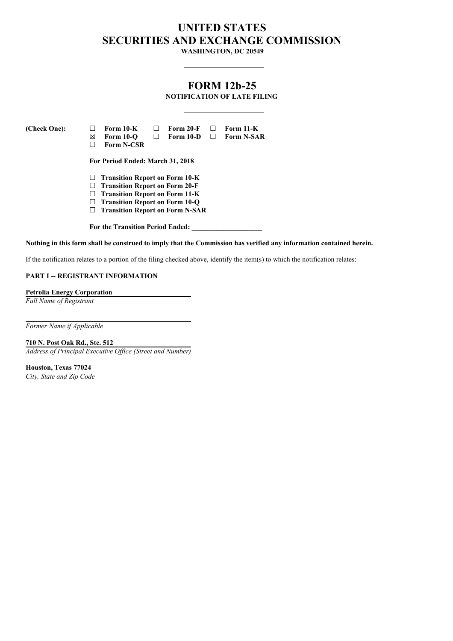# **UNITED STATES SECURITIES AND EXCHANGE COMMISSION**

**WASHINGTON, DC 20549**

## **FORM 12b-25**

**NOTIFICATION OF LATE FILING**

**(Check One): ☐ Form 10-K ☐ Form 20-F ☐ Form 11-K ☒ Form 10-Q ☐ Form 10-D ☐ Form N-SAR ☐ Form N-CSR For Period Ended: March 31, 2018**

- **☐ Transition Report on Form 10-K**
- **☐ Transition Report on Form 20-F**
- **☐ Transition Report on Form 11-K**
- **☐ Transition Report on Form 10-Q**
- **☐ Transition Report on Form N-SAR**

**For the Transition Period Ended: \_\_\_\_\_\_\_\_\_\_\_\_\_\_\_\_\_\_\_\_**

Nothing in this form shall be construed to imply that the Commission has verified any information contained herein.

If the notification relates to a portion of the filing checked above, identify the item(s) to which the notification relates:

#### **PART I -- REGISTRANT INFORMATION**

**Petrolia Energy Corporation**

*Full Name of Registrant*

*Former Name if Applicable*

**710 N. Post Oak Rd., Ste. 512**

*Address of Principal Executive Of ice (Street and Number)*

**Houston, Texas 77024**

*City, State and Zip Code*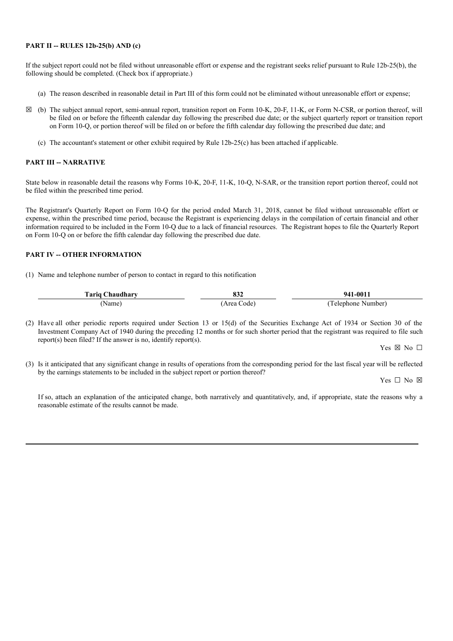#### **PART II -- RULES 12b-25(b) AND (c)**

If the subject report could not be filed without unreasonable effort or expense and the registrant seeks relief pursuant to Rule 12b-25(b), the following should be completed. (Check box if appropriate.)

- (a) The reason described in reasonable detail in Part III of this form could not be eliminated without unreasonable effort or expense;
- **☒** (b) The subject annual report, semi-annual report, transition report on Form 10-K, 20-F, 11-K, or Form N-CSR, or portion thereof, will be filed on or before the fifteenth calendar day following the prescribed due date; or the subject quarterly report or transition report on Form 10-Q, or portion thereof will be filed on or before the fifth calendar day following the prescribed due date; and
	- (c) The accountant's statement or other exhibit required by Rule 12b-25(c) has been attached if applicable.

#### **PART III -- NARRATIVE**

State below in reasonable detail the reasons why Forms 10-K, 20-F, 11-K, 10-Q, N-SAR, or the transition report portion thereof, could not be filed within the prescribed time period.

The Registrant's Quarterly Report on Form 10-Q for the period ended March 31, 2018, cannot be filed without unreasonable effort or expense, within the prescribed time period, because the Registrant is experiencing delays in the compilation of certain financial and other information required to be included in the Form 10-Q due to a lack of financial resources. The Registrant hopes to file the Quarterly Report on Form 10-Q on or before the fifth calendar day following the prescribed due date.

#### **PART IV -- OTHER INFORMATION**

(1) Name and telephone number of person to contact in regard to this notification

| Taria Chaudharv | 022<br>0.JZ | 941-0011          |
|-----------------|-------------|-------------------|
| Name)           | (Area Code) | Telephone Number) |

(2) Have all other periodic reports required under Section 13 or 15(d) of the Securities Exchange Act of 1934 or Section 30 of the Investment Company Act of 1940 during the preceding 12 months or for such shorter period that the registrant was required to file such report(s) been filed? If the answer is no, identify report(s).

Yes  $\boxtimes$  No  $\Box$ 

(3) Is it anticipated that any significant change in results of operations from the corresponding period for the last fiscal year will be reflected by the earnings statements to be included in the subject report or portion thereof?

Yes  $\Box$  No  $\boxtimes$ 

If so, attach an explanation of the anticipated change, both narratively and quantitatively, and, if appropriate, state the reasons why a reasonable estimate of the results cannot be made.